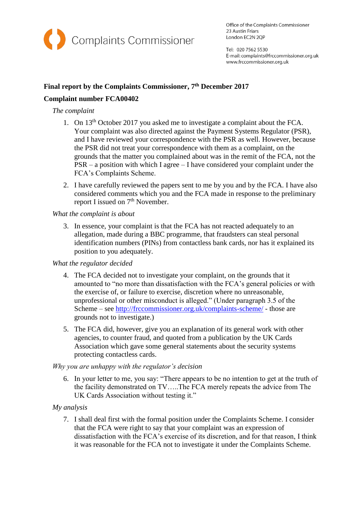

Office of the Complaints Commissioner 23 Austin Friars London EC2N 2QP

Tel: 020 7562 5530 E-mail: complaints@frccommissioner.org.uk www.frccommissioner.org.uk

# **Final report by the Complaints Commissioner, 7th December 2017**

# **Complaint number FCA00402**

### *The complaint*

- 1. On 13th October 2017 you asked me to investigate a complaint about the FCA. Your complaint was also directed against the Payment Systems Regulator (PSR), and I have reviewed your correspondence with the PSR as well. However, because the PSR did not treat your correspondence with them as a complaint, on the grounds that the matter you complained about was in the remit of the FCA, not the PSR – a position with which I agree – I have considered your complaint under the FCA's Complaints Scheme.
- 2. I have carefully reviewed the papers sent to me by you and by the FCA. I have also considered comments which you and the FCA made in response to the preliminary report I issued on 7<sup>th</sup> November.

### *What the complaint is about*

3. In essence, your complaint is that the FCA has not reacted adequately to an allegation, made during a BBC programme, that fraudsters can steal personal identification numbers (PINs) from contactless bank cards, nor has it explained its position to you adequately.

## *What the regulator decided*

- 4. The FCA decided not to investigate your complaint, on the grounds that it amounted to "no more than dissatisfaction with the FCA's general policies or with the exercise of, or failure to exercise, discretion where no unreasonable, unprofessional or other misconduct is alleged." (Under paragraph 3.5 of the Scheme – see<http://frccommissioner.org.uk/complaints-scheme/> - those are grounds not to investigate.)
- 5. The FCA did, however, give you an explanation of its general work with other agencies, to counter fraud, and quoted from a publication by the UK Cards Association which gave some general statements about the security systems protecting contactless cards.

#### *Why you are unhappy with the regulator's decision*

6. In your letter to me, you say: "There appears to be no intention to get at the truth of the facility demonstrated on TV…..The FCA merely repeats the advice from The UK Cards Association without testing it."

## *My analysis*

7. I shall deal first with the formal position under the Complaints Scheme. I consider that the FCA were right to say that your complaint was an expression of dissatisfaction with the FCA's exercise of its discretion, and for that reason, I think it was reasonable for the FCA not to investigate it under the Complaints Scheme.